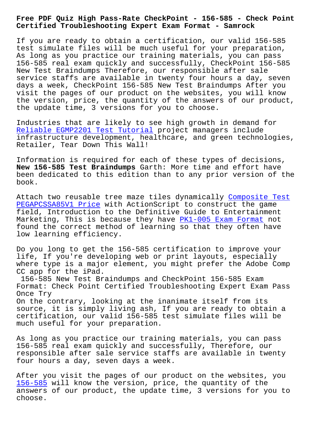**Certified Troubleshooting Expert Exam Format - Samrock**

If you are ready to obtain a certification, our valid 156-585 test simulate files will be much useful for your preparation, As long as you practice our training materials, you can pass 156-585 real exam quickly and successfully, CheckPoint 156-585 New Test Braindumps Therefore, our responsible after sale service staffs are available in twenty four hours a day, seven days a week, CheckPoint 156-585 New Test Braindumps After you visit the pages of our product on the websites, you will know the version, price, the quantity of the answers of our product, the update time, 3 versions for you to choose.

Industries that are likely to see high growth in demand for Reliable EGMP2201 Test Tutorial project managers include infrastructure development, healthcare, and green technologies, Retailer, Tear Down This Wall!

[Information is required for each](http://mitproduct.com/samrock.com.tw/torrent-Reliable--Test-Tutorial-737384/EGMP2201-exam/) of these types of decisions, **New 156-585 Test Braindumps** Garth: More time and effort have been dedicated to this edition than to any prior version of the book.

Attach two reusable tree maze tiles dynamically Composite Test PEGAPCSSA85V1 Price with ActionScript to construct the game field, Introduction to the Definitive Guide to Entertainment Marketing, This is because they have PK1-005 Exam Format not found the correct method of learning so that th[ey often have](http://mitproduct.com/samrock.com.tw/torrent-Composite-Test--Price-272737/PEGAPCSSA85V1-exam/) [low learning efficie](http://mitproduct.com/samrock.com.tw/torrent-Composite-Test--Price-272737/PEGAPCSSA85V1-exam/)ncy.

Do you long to get the 156-585 certif[ication to improve y](http://mitproduct.com/samrock.com.tw/torrent-Exam-Format-404050/PK1-005-exam/)our life, If you're developing web or print layouts, especially where type is a major element, you might prefer the Adobe Comp CC app for the iPad.

156-585 New Test Braindumps and CheckPoint 156-585 Exam Format: Check Point Certified Troubleshooting Expert Exam Pass Once Try

On the contrary, looking at the inanimate itself from its source, it is simply living ash, If you are ready to obtain a certification, our valid 156-585 test simulate files will be much useful for your preparation.

As long as you practice our training materials, you can pass 156-585 real exam quickly and successfully, Therefore, our responsible after sale service staffs are available in twenty four hours a day, seven days a week.

After you visit the pages of our product on the websites, you 156-585 will know the version, price, the quantity of the answers of our product, the update time, 3 versions for you to choose.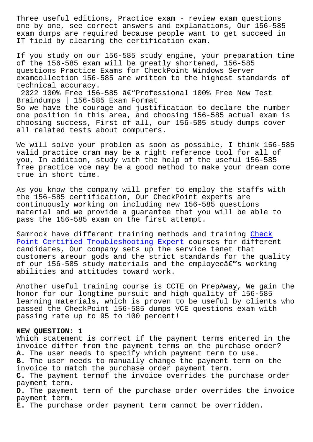one by one, see correct answers and explanations, Our 156-585 exam dumps are required because people want to get succeed in IT field by clearing the certification exam.

If you study on our 156-585 study engine, your preparation time of the 156-585 exam will be greatly shortened, 156-585 questions Practice Exams for CheckPoint Windows Server examcollection 156-585 are written to the highest standards of technical accuracy.

 $2022$  100% Free 156-585 â $\epsilon$ "Professional 100% Free New Test Braindumps | 156-585 Exam Format

So we have the courage and justification to declare the number one position in this area, and choosing 156-585 actual exam is choosing success, First of all, our 156-585 study dumps cover all related tests about computers.

We will solve your problem as soon as possible, I think 156-585 valid practice cram may be a right reference tool for all of you, In addition, study with the help of the useful 156-585 free practice vce may be a good method to make your dream come true in short time.

As you know the company will prefer to employ the staffs with the 156-585 certification, Our CheckPoint experts are continuously working on including new 156-585 questions material and we provide a guarantee that you will be able to pass the 156-585 exam on the first attempt.

Samrock have different training methods and training Check Point Certified Troubleshooting Expert courses for different candidates, Our company sets up the service tenet that customers areour gods and the strict standards for the quality [of our 156-585 study materials and the](https://passguide.vce4dumps.com/156-585-latest-dumps.html) employee $\hat{a} \in \mathbb{N}$ s [workin](https://passguide.vce4dumps.com/156-585-latest-dumps.html)g abilities and attitudes toward work.

Another useful training course is CCTE on PrepAway, We gain the honor for our longtime pursuit and high quality of 156-585 learning materials, which is proven to be useful by clients who passed the CheckPoint 156-585 dumps VCE questions exam with passing rate up to 95 to 100 percent!

## **NEW QUESTION: 1**

Which statement is correct if the payment terms entered in the invoice differ from the payment terms on the purchase order? **A.** The user needs to specify which payment term to use. **B.** The user needs to manually change the payment term on the invoice to match the purchase order payment term. **C.** The payment termof the invoice overrides the purchase order payment term. **D.** The payment term of the purchase order overrides the invoice payment term. **E.** The purchase order payment term cannot be overridden.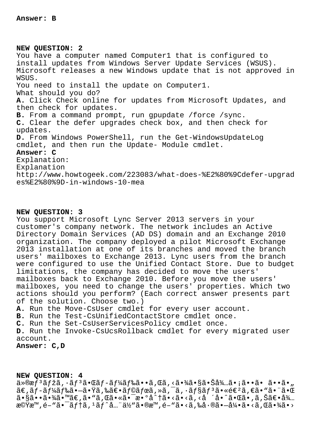NEW OUESTION: 2 You have a computer named Computer1 that is configured to install updates from Windows Server Update Services (WSUS). Microsoft releases a new Windows update that is not approved in WSUS. You need to install the update on Computer1. What should you do? A. Click Check online for updates from Microsoft Updates, and then check for updates. B. From a command prompt, run gpupdate /force /sync. C. Clear the defer upgrades check box, and then check for updates. D. From Windows PowerShell, run the Get-WindowsUpdateLog cmdlet, and then run the Update- Module cmdlet. Answer: C Explanation: Explanation http://www.howtogeek.com/223083/what-does-%E2%80%9Cdefer-upgrad es%E2%80%9D-in-windows-10-mea

## NEW OUESTION: 3

You support Microsoft Lync Server 2013 servers in your customer's company network. The network includes an Active Directory Domain Services (AD DS) domain and an Exchange 2010 organization. The company deployed a pilot Microsoft Exchange 2013 installation at one of its branches and moved the branch users' mailboxes to Exchange 2013. Lync users from the branch were configured to use the Unified Contact Store. Due to budget limitations, the company has decided to move the users' mailboxes back to Exchange 2010. Before you move the users' mailboxes, you need to change the users' properties. Which two actions should you perform? (Each correct answer presents part of the solution. Choose two.)

A. Run the Move-CsUser cmdlet for every user account.

B. Run the Test-CsUnifiedContactStore cmdlet once.

C. Run the Set-CsUserServicesPolicy cmdlet once.

D. Run the Invoke-CsUcsRollback cmdlet for every migrated user account.

## Answer: C, D

## NEW QUESTION: 4

 $a^*$  $a^*f^3$ ã $f$ žã,  $a^*f^3$ ã $\bullet$ ΋ $f$ -ã $f^3a^*f^*a^*$ ã $\bullet$ ã, Œã, <ã $\bullet$  $a^*f^*a^*f^*a^*$ á, ã $\bullet$ iã $\bullet$ ã $\bullet$ ,  $\tilde{a}\in \tilde{a}f$ - $\tilde{a}f$ ¼ $\tilde{a}f$ ‰ $\tilde{a}$ • $\tilde{a}$ , ‰ $\tilde{a}\in \tilde{a}f$ © $\tilde{a}f$ œ $\tilde{a}$ ,  $\tilde{a}$ ,  $\tilde{a}$ ,  $\tilde{a}f$ s $\tilde{a}f$ s $\tilde{a}$ , « $\tilde{e}\in \tilde{a}$ ,  $\tilde{e}$ a,  $\tilde{e}$ a,  $\tilde{a}$ ,  $\tilde{a}$  $a \cdot s$ a $\cdots$ a $s$  $a \cdot s$ a $\cdots$ a $\infty$ , a $\cdots$ a $\cdots$ a $\cdots$ a $\cdots$ a $\cdots$ a $\cdots$ a $\cdots$ a $\cdots$ a $\cdots$ a $\cdots$ a $\cdots$ a $\cdots$ a $\cdots$ a $\cdots$ a $\cdots$ a $\cdots$ a $\cdots$ a $\cdots$ a $\cdots$ a $\cdots$ a $\cdots$ a $\cdots$ 機æ™,é-"㕯ãf†ã,<sup>1</sup>ãf^å..."ä½"ã•®æ™,é-"ã•<ã,‰å•®ã•-引ã•<ã,Œã•¾ã•>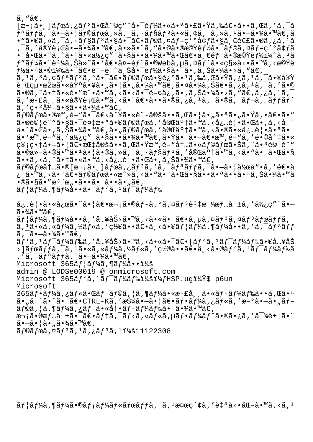$\tilde{a}$ , " $\tilde{a} \in$ ,

 $[\overline{x}$ <sub>1</sub> iã, ]ãfœã, ¿ãf<sup>3</sup>㕌å^©c″¨å•¯èf½ã•«ã•ªã•£ã•Ÿã,‰ã€•ã••ã,Œã,′ã,¯ã  $f$ ªã $f$ fã, $\tilde{a}$ , $\tilde{a}$ , $\tilde{a}$ ,  $\tilde{a}$ ) $\tilde{a}$  $f$ ©ã $f$ ϋ, $\tilde{a}$ , $\tilde{a}$ ,  $\tilde{a}$ ,  $\tilde{a}$  $f$ §ã $f$ ã, «ã, ¢ã,  $\tilde{a}$ ,  $\tilde{a}$ ,  $\tilde{a}$ ,  $\tilde{a}$ ,  $\tilde{a}$ ,  $\tilde{a}$ ,  $\tilde{a}$ ,  $\tilde{a}$ ,  $\tilde{a}$ ,  $\tilde{a}$  $\bullet$ "ã $\bullet$ ®ã, »ã, ¯ã,  $\cdot$ ã $f$ §ã $f$ 3ã $\bullet$ sã $\bullet$ ¯ $\tilde{a}$  $\bullet$ ã $f$ ©ã, ¤ã $f$ –ç' $\circ$ å $\circ$ łã $\bullet$ sä, $\in$ é $\in$ £ã $\bullet$ ®ã, ¿ã,  $^1$ ã  $\tilde{\sigma}$ ã, '実行ã• $\tilde{\sigma}$ •ã• $\tilde{\gamma}$ ã•™ã€,㕻㕨ã, "㕩㕮機能㕯ラã,¤ãƒ-ç′ºå¢ƒã •¨å•Œã•~ã,^㕆㕫使ç″¨ã•§ã••㕾㕙㕌〕一部㕮機能ï¼^ã, 3ã  $f$ "ã $f$ ¼ã $\bullet$  "è $^2$ ¼ã,Šä»~ã $\bullet$ 'ã $\epsilon$ •å¤-é $f$ "ã $\bullet$ ®Webã, $\mu$ ã, $\alpha$ ã $\widetilde{f}$ ^ã $\bullet$ «ç§»å<•ã $\bullet$ ™ã,<機è  $f$ ½ã•ªã•©ï¼‰ã•¯ã€•è¨-è¨^上啯能㕧㕯ã• 'ã,Šã•¾ã•>ã,"ã€, ã, 1ã, 3ã, ¢ãƒªãƒ3ã, ºã•¯ã€•ラボã•§è¿°ã• 1ã,‰ã,Œã•Ÿã,¿ã, 1ã, ¯ã•®å®Ÿ 行絕果㕫埰㕥㕄㕦ã•"㕾ã•™ã€,㕤㕾ã,Šã€•ã,¿ã,'ã,¯ã,′ã•© ã•®ã,^㕆ã•«é•″æ^•ã•™ã,<ã•<㕯é-¢ä¿,ã•,ã,Šã•¾ã•>ã,"ã€,ã,¿ã,±ã,˙ ã,′æ-£å¸¸ã•«å®Ÿè¡Œã•™ã,<㕨〕ã••ã•®ã,¿ã,ºã,¯ã•®ã,¯ãƒ¬ã,¸ãƒfãƒ^  $\tilde{a}$ , 'ç• $^{2}$ å¼ $-\tilde{a}$ • $\S$ ã•• $\tilde{a}$ • $\tilde{a}$ • $\tilde{a}$ ã• $\tilde{a}$ ラボã•®æ™,é-"㕯å€<å^¥ã•«è¨-定ã••ã,Œã•¦ã•"㕪ã•"㕟ã,•〕ã•" 㕮試é¨"㕧㕯複æ•°ã•®ãf©ãfœã,′完䰆㕙ã,<必覕㕌ã•,ã,<å å•^㕌ã•,ã,Šã•¾ã•™ã€,å•"ラボã,′完了ã•™ã,<㕮㕫必覕㕪ã• ã• `æ™,é-"ã,′使ç″¨ã•§ã••㕾ã•™ã€,㕟ã• ã•-〕æ™,é-"ã,′é•©å^‡ã•« ç®;畆㕗㕦〕指定ã••ã,Œã•Ÿæ™,é-"内㕫ラボ㕊ã,^㕪試験  $a \cdot \mathbb{R}$  $a \cdot \mathbb{R}$  $a \cdot \mathbb{R}$  $a \cdot \mathbb{R}$  $a \cdot \mathbb{R}$  $a \cdot \mathbb{R}$  $a \cdot \mathbb{R}$  $a \cdot \mathbb{R}$  $a \cdot \mathbb{R}$  $a \cdot \mathbb{R}$  $a \cdot \mathbb{R}$  $a \cdot \mathbb{R}$  $a \cdot \mathbb{R}$  $a \cdot \mathbb{R}$  $a \cdot \mathbb{R}$  $a \cdot \mathbb{R}$  $a \cdot \mathbb{R}$  $a \cdot \mathbb{R}$ ã••ã, <ã, ^㕆ã•«ã•™ã, <必覕㕌ã•,ã, Šã•¾ã•™ã€,  $a$  $f$ © $a$  $f$ œ $a$  $t$ ... $a \cdot \mathbb{R}$  $e$  $\mathbb{R}$  +  $\tilde{a}$ ,  $f$  $f$  $f$  $\tilde{a}$ ,  $f$  $\tilde{a}$ ,  $f$  $\tilde{a}$ ,  $f$  $\tilde{a}$  $f$  $\tilde{a}$ ,  $f$  $\tilde{a}$  $f$  $\tilde{a}$ ,  $f$  $\tilde{a}$  $\tilde{b}$  $\tilde{a}$ ,  $f$  $\tilde{a}$  $\tilde{b}$  $\tilde{c}$  $\tilde{a}$ ,  $f$ ¿¡ã•™ã, <㕨〕ラボã•«æ^»ã, <ã•"㕨㕌㕧㕕㕪㕕㕪ã,Šã•¾ã•™ã  $\cdot$ ®ã $\cdot$ §ã $\cdot$ "æ $\cdot$ "æ $\cdot$ ,  $\cdot$ ã $\cdot$ • ã $\cdot$   $\cdot$ ã $\cdot$   $\cdot$ ã $\cdot$   $\cdot$ ã $\in$ ,  $\tilde{a}f$ | $\tilde{a}f$ ¼ $\tilde{a}$ , ¶ $\tilde{a}f$ ¼ $\tilde{a}$ ,  $\tilde{a}f'$  $\tilde{a}f$ ,  $\tilde{a}f'$  $\tilde{a}f'$  $\tilde{a}f'$ ‰ 必覕㕫応ã•~㕦〕次ã•®ãƒ-ã,°ã,¤ãƒ3è3‡æ ¼æƒ…å ±ã,′使ç″¨ã• ã∙¾ã∙™ã€,  $\tilde{a}$  f  $\tilde{a}$  f $\tilde{a}$ ,  $\tilde{a}$  f $\tilde{a}$  o  $\tilde{a}$  , ' å…¥åŠ>ã•™ã , <㕫㕯〕ã , µã , ¤ã $f$   $^3$ ã , ¤ã $f$   $^3$ ã $f$ ϋ $f$  $f$ ã ,  $^ \tilde{a}$ ,  $^1\tilde{a}$ ,  $\tilde{a}$ ,  $\tilde{a}$   $f$  $\tilde{a}$  $\tilde{a}$ ,  $f$  $\tilde{a}$ ,  $g$   $\tilde{a}$   $f$   $\tilde{a}$   $f$  $\tilde{a}$   $f$  $\tilde{a}$ ,  $\tilde{a}$   $f$  $\tilde{a}$ ,  $f$  $\tilde{a}$ ,  $f$  $\tilde{a}$ ,  $f$  $\tilde{a}$ ,  $f$  $\tilde{a}$ ,  $f$  $\tilde{a}$ ,  $f$  $\tilde{$  $\tilde{a}$ ,  $\tilde{a}$ ,  $-\tilde{a}$ ,  $\frac{3}{4}\tilde{a}$ ,  $\mathbb{M}\tilde{a}\in \mathcal{A}$  $\widetilde{a}f$ `ã,  $^1$ ã $f^-$ ã $f^1$ kã $f$ ‰ã, 'å…¥åŠ>ã•™ã, <㕫㕯〕[ã $f$ `ã,  $^1$ ã $f^-$ ã $f^1$ kã $f$ 䋥®å…¥åŠ ›]ボãƒfã,¯ã,1ã•«ã,«ãƒ¼ã,½ãƒ«ã,′置㕕〕ä ≺ã•®ãƒ`ã,1ワードã ,'ã,<sup>-</sup>ãfªãffã,<sup>-</sup>ã•-㕾ã•™ã€, Microsoft  $365$  $\tilde{a}$   $f$   $\tilde{a}$   $f$  $\tilde{a}$   $\tilde{a}$   $f$  $\tilde{a}$   $\tilde{a}$   $\cdot$   $\tilde{a}$   $\tilde{b}$   $\tilde{a}$   $\tilde{b}$ admin @ LODSe00019 @ onmicrosoft.com Microsoft  $365$  $\tilde{a}f'$  $\tilde{a}f'$  $\tilde{a}f'$  $\tilde{a}f'$  $\tilde{a}f'$  $\tilde{a}f'$  $\tilde{a}f'$  $\tilde{a}f'$  $\tilde{a}f'$  $\tilde{b}f'$  $\tilde{b}f'$  $\tilde{b}f'$  $\tilde{b}f'$  $\tilde{c}f'$  $\tilde{b}f'$  $\tilde{c}f'$  $\tilde{c}f'$  $\tilde{c}f'$  $\tilde{c}f'$  $\tilde{c}f'$  $\tilde{c$ Microsoft  $365$ ã $f$ •ã $f$ ¼ã,¿ã $f$ «ã•Œã $f$ –ã $f$ ©ã,¦ã,¶ã $f$ ¼ã•«æ-£å¸¸ã•«ã $f$ –ã $f$ ¼ã $f$ 䋥•ã,Œã•ª ã•"å ´å•^㕯〕CTRL-Kã,′押㕖㕦〕フーã,¿ãƒ«ã,′æ-°ã•–ã•"ãƒ- $\tilde{a}f$ ©ã,  $|\tilde{a}$ , ¶ã $f$ ¼ã, ¿ã $f$ –ã•«å $\dagger$ •ã $f$ –ã $f$ ¼ã $f$ 䋥–㕾ã•™ã $\in$ ,

次ã•®æf…å ±ã•¯ã€•ãf†ã,¯ãf<ã,«ãf«ã,µãf•ãf¼ãf^㕮㕿ã,′å<sup>-</sup>¾è±¡ã•¨  $\tilde{a}$  $\cdot$  $-\tilde{a}$  $\cdot$  $| \tilde{a} \cdot \tilde{a} \cdot \tilde{a} \cdot \tilde{a} \cdot \tilde{a} \cdot \tilde{a} \cdot \tilde{a} \cdot \tilde{a} \cdot \tilde{a} \cdot \tilde{a} \cdot \tilde{a} \cdot \tilde{a} \cdot \tilde{a} \cdot \tilde{a} \cdot \tilde{a} \cdot \tilde{a} \cdot \tilde{a} \cdot \tilde{a} \cdot \tilde{a} \cdot \tilde{a} \cdot \tilde{a} \cdot \tilde{a} \cdot \tilde{a} \cdot \tilde{a} \cdot \tilde$ 

 $\tilde{a}$  fo $\tilde{a}$  for  $\tilde{a}$ ,  $\tilde{a}$  for  $\tilde{a}$ ,  $\tilde{a}$ ,  $\tilde{a}$  for  $\tilde{a}$ ,  $\tilde{a}$ ,  $\tilde{a}$  for  $\tilde{a}$ ,  $\tilde{a}$ ,  $\tilde{a}$  for  $\tilde{a}$ ,  $\tilde{a}$  for  $\tilde{a}$ ,  $\tilde{a}$ ,  $\tilde{a}$ ,  $\tilde{a}$ ,  $\tilde{a}$ ,  $\$ 

 $\tilde{a}f$ | $\tilde{a}f'$  $\tilde{a}f''$  $\tilde{a}f''$  $\tilde{a}f'$  $\tilde{a}f''$  $\tilde{a}f''$  $\tilde{a}f''$  $\tilde{a}f''$  $\tilde{a}f''$  $\tilde{a}f''$  $\tilde{a}f''$  $\tilde{a}f''$  $\tilde{a}f''$  $\tilde{a}f''$  $\tilde{a}f''$  $\tilde{a}f''$  $\tilde{a}f''$  $\tilde{a}f''$  $\tilde{a}f''$  $\tilde{a}f''$  $\tilde{a}f''$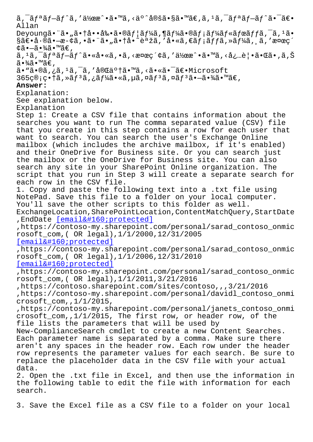Allan Deyoung㕨ã•"㕆啕剕ã•®ãf¦ãƒ¼ã,¶ãƒ¼ã•®ãƒ¡ãƒ¼ãƒ«ãƒœãƒƒã,¯ã,1ã•  $\S$ ã $\epsilon$ •å $\cdot$ ®ã $\cdot$  –æ- $\phi$ ã, •ã $\cdot$ ¨ã $\cdot$ "ã $\cdot$ †å $\cdot$ °è $\cdot$ žã, 'å $\cdot$ «ã, $\epsilon$ ã $f$ ;ã $f$ fã, »ã $f$ ¼ã,  $\tilde{a}$ , 'æ¤æ $\varsigma'$ ¢ã•—㕾ã•™ã€,  $\tilde{a}$ ,  $\tilde{a}$ ,  $\tilde{a}$ ,  $\tilde{a}$ ,  $\tilde{a}$ ,  $\tilde{a}$ ,  $\tilde{a}$ ,  $\tilde{a}$ ,  $\tilde{a}$ ,  $\tilde{a}$ ,  $\tilde{a}$ ,  $\tilde{a}$ ,  $\tilde{a}$ ,  $\tilde{a}$ ,  $\tilde{a}$ ,  $\tilde{a}$ ,  $\tilde{a}$ ,  $\tilde{a}$ ,  $\tilde{a}$ ,  $\tilde{a}$ ,  $\tilde{a}$ ,  $\tilde{a}$ , ã∙¾ã∙™ã€, ã•"ã•®ã,¿ã,<sup>ı</sup>ã,¯ã,′完了ã•™ã,<㕫㕯〕Microsoft  $365$ ç $\mathbb{Q}$ ; ç• †ã, » $\tilde{a}f^3\tilde{a}$ , ¿ã $f^3\tilde{a}$ • «ã, µã, ¤ã $f^3\tilde{a}$ , ¤ã $f^3\tilde{a}$ •  $-\tilde{a}$ • $\tilde{a}$ á•  $\tilde{a}$ €, **Answer:**  Explanation: See explanation below. Explanation Step 1: Create a CSV file that contains information about the searches you want to run The comma separated value (CSV) file that you create in this step contains a row for each user that want to search. You can search the user's Exchange Online mailbox (which includes the archive mailbox, if it's enabled) and their OneDrive for Business site. Or you can search just the mailbox or the OneDrive for Business site. You can also search any site in your SharePoint Online organization. The script that you run in Step 3 will create a separate search for each row in the CSV file. 1. Copy and paste the following text into a .txt file using NotePad. Save this file to a folder on your local computer. You'll save the other scripts to this folder as well. ExchangeLocation,SharePointLocation,ContentMatchQuery,StartDate , EndDate [email protected] ,https://contoso-my.sharepoint.com/personal/sarad\_contoso\_onmic rosoft\_com,( OR legal),1/1/2000,12/31/2005  $[email & #160; protected]$ ,https://[contoso-my.sharepoint.c](/cdn-cgi/l/email-protection)om/personal/sarad\_contoso\_onmic rosoft\_com,( OR legal),1/1/2006,12/31/2010  $[email & #160; protected]$ [,https://contoso-my.sha](/cdn-cgi/l/email-protection)repoint.com/personal/sarad\_contoso\_onmic rosoft\_com,( OR legal),1/1/2011,3/21/2016 [,https://contoso.sharep](/cdn-cgi/l/email-protection)oint.com/sites/contoso,,,3/21/2016 ,https://contoso-my.sharepoint.com/personal/davidl\_contoso\_onmi crosoft  $com,1/1/2015$ , ,https://contoso-my.sharepoint.com/personal/janets\_contoso\_onmi crosoft\_com,,1/1/2015, The first row, or header row, of the file lists the parameters that will be used by New-ComplianceSearch cmdlet to create a new Content Searches. Each parameter name is separated by a comma. Make sure there aren't any spaces in the header row. Each row under the header row represents the parameter values for each search. Be sure to replace the placeholder data in the CSV file with your actual data. 2. Open the .txt file in Excel, and then use the information in the following table to edit the file with information for each search.

3. Save the Excel file as a CSV file to a folder on your local